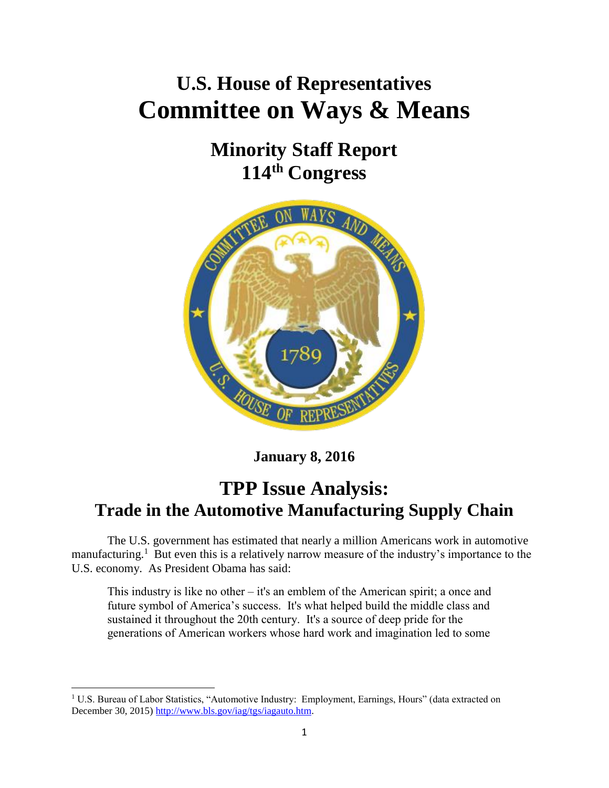# **U.S. House of Representatives Committee on Ways & Means**

## **Minority Staff Report 114th Congress**



**January 8, 2016**

## **TPP Issue Analysis: Trade in the Automotive Manufacturing Supply Chain**

The U.S. government has estimated that nearly a million Americans work in automotive manufacturing.<sup>1</sup> But even this is a relatively narrow measure of the industry's importance to the U.S. economy. As President Obama has said:

This industry is like no other – it's an emblem of the American spirit; a once and future symbol of America's success. It's what helped build the middle class and sustained it throughout the 20th century. It's a source of deep pride for the generations of American workers whose hard work and imagination led to some

<sup>&</sup>lt;sup>1</sup> U.S. Bureau of Labor Statistics, "Automotive Industry: Employment, Earnings, Hours" (data extracted on December 30, 2015) [http://www.bls.gov/iag/tgs/iagauto.htm.](http://www.bls.gov/iag/tgs/iagauto.htm)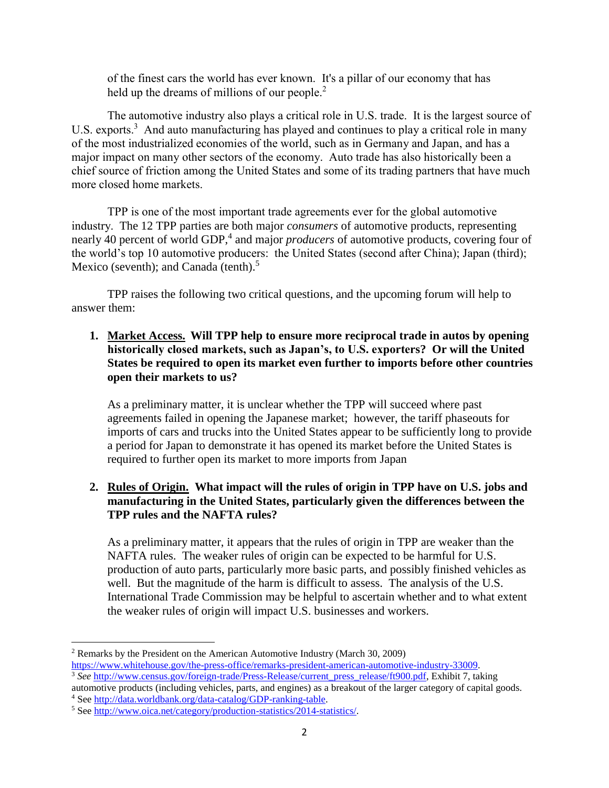of the finest cars the world has ever known. It's a pillar of our economy that has held up the dreams of millions of our people. $2$ 

The automotive industry also plays a critical role in U.S. trade. It is the largest source of U.S. exports. $3$  And auto manufacturing has played and continues to play a critical role in many of the most industrialized economies of the world, such as in Germany and Japan, and has a major impact on many other sectors of the economy. Auto trade has also historically been a chief source of friction among the United States and some of its trading partners that have much more closed home markets.

TPP is one of the most important trade agreements ever for the global automotive industry. The 12 TPP parties are both major *consumers* of automotive products, representing nearly 40 percent of world GDP,<sup>4</sup> and major *producers* of automotive products, covering four of the world's top 10 automotive producers: the United States (second after China); Japan (third); Mexico (seventh); and Canada (tenth).<sup>5</sup>

TPP raises the following two critical questions, and the upcoming forum will help to answer them:

**1. Market Access. Will TPP help to ensure more reciprocal trade in autos by opening historically closed markets, such as Japan's, to U.S. exporters? Or will the United States be required to open its market even further to imports before other countries open their markets to us?**

As a preliminary matter, it is unclear whether the TPP will succeed where past agreements failed in opening the Japanese market; however, the tariff phaseouts for imports of cars and trucks into the United States appear to be sufficiently long to provide a period for Japan to demonstrate it has opened its market before the United States is required to further open its market to more imports from Japan

## **2. Rules of Origin. What impact will the rules of origin in TPP have on U.S. jobs and manufacturing in the United States, particularly given the differences between the TPP rules and the NAFTA rules?**

As a preliminary matter, it appears that the rules of origin in TPP are weaker than the NAFTA rules. The weaker rules of origin can be expected to be harmful for U.S. production of auto parts, particularly more basic parts, and possibly finished vehicles as well. But the magnitude of the harm is difficult to assess. The analysis of the U.S. International Trade Commission may be helpful to ascertain whether and to what extent the weaker rules of origin will impact U.S. businesses and workers.

l

<sup>2</sup> Remarks by the President on the American Automotive Industry (March 30, 2009) [https://www.whitehouse.gov/the-press-office/remarks-president-american-automotive-industry-33009.](https://www.whitehouse.gov/the-press-office/remarks-president-american-automotive-industry-33009) <sup>3</sup> See [http://www.census.gov/foreign-trade/Press-Release/current\\_press\\_release/ft900.pdf,](http://www.census.gov/foreign-trade/Press-Release/current_press_release/ft900.pdf) Exhibit 7, taking

automotive products (including vehicles, parts, and engines) as a breakout of the larger category of capital goods.

<sup>4</sup> Se[e http://data.worldbank.org/data-catalog/GDP-ranking-table.](http://data.worldbank.org/data-catalog/GDP-ranking-table)

<sup>&</sup>lt;sup>5</sup> Se[e http://www.oica.net/category/production-statistics/2014-statistics/.](http://www.oica.net/category/production-statistics/2014-statistics/)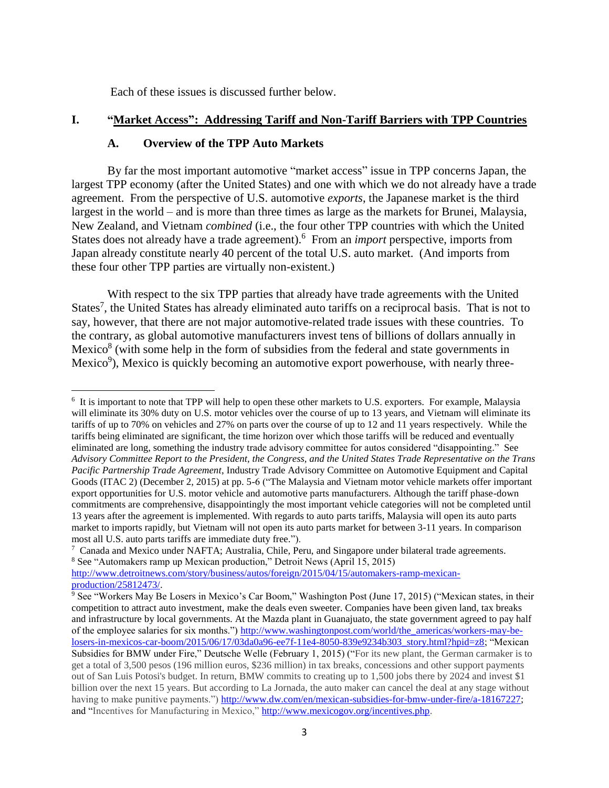Each of these issues is discussed further below.

#### **I. "Market Access": Addressing Tariff and Non-Tariff Barriers with TPP Countries**

#### **A. Overview of the TPP Auto Markets**

By far the most important automotive "market access" issue in TPP concerns Japan, the largest TPP economy (after the United States) and one with which we do not already have a trade agreement. From the perspective of U.S. automotive *exports*, the Japanese market is the third largest in the world – and is more than three times as large as the markets for Brunei, Malaysia, New Zealand, and Vietnam *combined* (i.e., the four other TPP countries with which the United States does not already have a trade agreement). 6 From an *import* perspective, imports from Japan already constitute nearly 40 percent of the total U.S. auto market. (And imports from these four other TPP parties are virtually non-existent.)

With respect to the six TPP parties that already have trade agreements with the United States<sup>7</sup>, the United States has already eliminated auto tariffs on a reciprocal basis. That is not to say, however, that there are not major automotive-related trade issues with these countries. To the contrary, as global automotive manufacturers invest tens of billions of dollars annually in Mexico $8$  (with some help in the form of subsidies from the federal and state governments in Mexico<sup>9</sup>), Mexico is quickly becoming an automotive export powerhouse, with nearly three-

 $\overline{\phantom{a}}$ <sup>6</sup> It is important to note that TPP will help to open these other markets to U.S. exporters. For example, Malaysia will eliminate its 30% duty on U.S. motor vehicles over the course of up to 13 years, and Vietnam will eliminate its tariffs of up to 70% on vehicles and 27% on parts over the course of up to 12 and 11 years respectively. While the tariffs being eliminated are significant, the time horizon over which those tariffs will be reduced and eventually eliminated are long, something the industry trade advisory committee for autos considered "disappointing." See *Advisory Committee Report to the President, the Congress, and the United States Trade Representative on the Trans Pacific Partnership Trade Agreement*, Industry Trade Advisory Committee on Automotive Equipment and Capital Goods (ITAC 2) (December 2, 2015) at pp. 5-6 ("The Malaysia and Vietnam motor vehicle markets offer important export opportunities for U.S. motor vehicle and automotive parts manufacturers. Although the tariff phase-down commitments are comprehensive, disappointingly the most important vehicle categories will not be completed until 13 years after the agreement is implemented. With regards to auto parts tariffs, Malaysia will open its auto parts market to imports rapidly, but Vietnam will not open its auto parts market for between 3-11 years. In comparison most all U.S. auto parts tariffs are immediate duty free.").

<sup>&</sup>lt;sup>7</sup> Canada and Mexico under NAFTA; Australia, Chile, Peru, and Singapore under bilateral trade agreements. <sup>8</sup> See "Automakers ramp up Mexican production," Detroit News (April 15, 2015)

[http://www.detroitnews.com/story/business/autos/foreign/2015/04/15/automakers-ramp-mexican](http://www.detroitnews.com/story/business/autos/foreign/2015/04/15/automakers-ramp-mexican-production/25812473/)[production/25812473/.](http://www.detroitnews.com/story/business/autos/foreign/2015/04/15/automakers-ramp-mexican-production/25812473/)

<sup>&</sup>lt;sup>9</sup> See "Workers May Be Losers in Mexico's Car Boom," Washington Post (June 17, 2015) ("Mexican states, in their competition to attract auto investment, make the deals even sweeter. Companies have been given land, tax breaks and infrastructure by local governments. At the Mazda plant in Guanajuato, the state government agreed to pay half of the employee salaries for six months.") [http://www.washingtonpost.com/world/the\\_americas/workers-may-be](http://www.washingtonpost.com/world/the_americas/workers-may-be-losers-in-mexicos-car-boom/2015/06/17/03da0a96-ee7f-11e4-8050-839e9234b303_story.html?hpid=z8)[losers-in-mexicos-car-boom/2015/06/17/03da0a96-ee7f-11e4-8050-839e9234b303\\_story.html?hpid=z8;](http://www.washingtonpost.com/world/the_americas/workers-may-be-losers-in-mexicos-car-boom/2015/06/17/03da0a96-ee7f-11e4-8050-839e9234b303_story.html?hpid=z8) "Mexican Subsidies for BMW under Fire," Deutsche Welle (February 1, 2015) ("For its new plant, the German carmaker is to get a total of 3,500 pesos (196 million euros, \$236 million) in tax breaks, concessions and other support payments out of San Luis Potosi's budget. In return, BMW commits to creating up to 1,500 jobs there by 2024 and invest \$1 billion over the next 15 years. But according to La Jornada, the auto maker can cancel the deal at any stage without having to make punitive payments.") [http://www.dw.com/en/mexican-subsidies-for-bmw-under-fire/a-18167227;](http://www.dw.com/en/mexican-subsidies-for-bmw-under-fire/a-18167227) and "Incentives for Manufacturing in Mexico," [http://www.mexicogov.org/incentives.php.](http://www.mexicogov.org/incentives.php)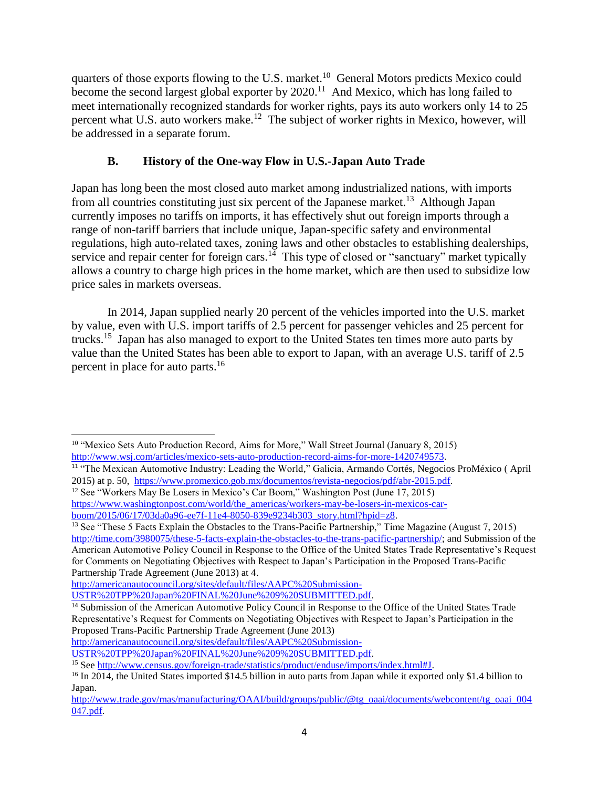quarters of those exports flowing to the U.S. market.<sup>10</sup> General Motors predicts Mexico could become the second largest global exporter by  $2020$ .<sup>11</sup> And Mexico, which has long failed to meet internationally recognized standards for worker rights, pays its auto workers only 14 to 25 percent what U.S. auto workers make.<sup>12</sup> The subject of worker rights in Mexico, however, will be addressed in a separate forum.

## **B. History of the One-way Flow in U.S.-Japan Auto Trade**

Japan has long been the most closed auto market among industrialized nations, with imports from all countries constituting just six percent of the Japanese market.<sup>13</sup> Although Japan currently imposes no tariffs on imports, it has effectively shut out foreign imports through a range of non-tariff barriers that include unique, Japan-specific safety and environmental regulations, high auto-related taxes, zoning laws and other obstacles to establishing dealerships, service and repair center for foreign cars.<sup>14</sup> This type of closed or "sanctuary" market typically allows a country to charge high prices in the home market, which are then used to subsidize low price sales in markets overseas.

In 2014, Japan supplied nearly 20 percent of the vehicles imported into the U.S. market by value, even with U.S. import tariffs of 2.5 percent for passenger vehicles and 25 percent for trucks.<sup>15</sup> Japan has also managed to export to the United States ten times more auto parts by value than the United States has been able to export to Japan, with an average U.S. tariff of 2.5 percent in place for auto parts.<sup>16</sup>

 $\overline{\phantom{a}}$ <sup>10</sup> "Mexico Sets Auto Production Record, Aims for More," Wall Street Journal (January 8, 2015) [http://www.wsj.com/articles/mexico-sets-auto-production-record-aims-for-more-1420749573.](http://www.wsj.com/articles/mexico-sets-auto-production-record-aims-for-more-1420749573)

<sup>11</sup> "The Mexican Automotive Industry: Leading the World," Galicia, Armando Cortés, Negocios ProMéxico ( April 2015) at p. 50, <https://www.promexico.gob.mx/documentos/revista-negocios/pdf/abr-2015.pdf>.

<sup>&</sup>lt;sup>12</sup> See "Workers May Be Losers in Mexico's Car Boom," Washington Post (June 17, 2015) [https://www.washingtonpost.com/world/the\\_americas/workers-may-be-losers-in-mexicos-car](https://www.washingtonpost.com/world/the_americas/workers-may-be-losers-in-mexicos-car-boom/2015/06/17/03da0a96-ee7f-11e4-8050-839e9234b303_story.html?hpid=z8)[boom/2015/06/17/03da0a96-ee7f-11e4-8050-839e9234b303\\_story.html?hpid=z8.](https://www.washingtonpost.com/world/the_americas/workers-may-be-losers-in-mexicos-car-boom/2015/06/17/03da0a96-ee7f-11e4-8050-839e9234b303_story.html?hpid=z8)

<sup>&</sup>lt;sup>13</sup> See "These 5 Facts Explain the Obstacles to the Trans-Pacific Partnership," Time Magazine (August 7, 2015) [http://time.com/3980075/these-5-facts-explain-the-obstacles-to-the-trans-pacific-partnership/;](http://time.com/3980075/these-5-facts-explain-the-obstacles-to-the-trans-pacific-partnership/) and Submission of the American Automotive Policy Council in Response to the Office of the United States Trade Representative's Request for Comments on Negotiating Objectives with Respect to Japan's Participation in the Proposed Trans-Pacific Partnership Trade Agreement (June 2013) at 4.

[http://americanautocouncil.org/sites/default/files/AAPC%20Submission-](http://americanautocouncil.org/sites/default/files/AAPC%20Submission-USTR%20TPP%20Japan%20FINAL%20June%209%20SUBMITTED.pdf)[USTR%20TPP%20Japan%20FINAL%20June%209%20SUBMITTED.pdf.](http://americanautocouncil.org/sites/default/files/AAPC%20Submission-USTR%20TPP%20Japan%20FINAL%20June%209%20SUBMITTED.pdf)

<sup>14</sup> Submission of the American Automotive Policy Council in Response to the Office of the United States Trade Representative's Request for Comments on Negotiating Objectives with Respect to Japan's Participation in the Proposed Trans-Pacific Partnership Trade Agreement (June 2013)

[http://americanautocouncil.org/sites/default/files/AAPC%20Submission-](http://americanautocouncil.org/sites/default/files/AAPC%20Submission-USTR%20TPP%20Japan%20FINAL%20June%209%20SUBMITTED.pdf)

[USTR%20TPP%20Japan%20FINAL%20June%209%20SUBMITTED.pdf.](http://americanautocouncil.org/sites/default/files/AAPC%20Submission-USTR%20TPP%20Japan%20FINAL%20June%209%20SUBMITTED.pdf)

<sup>15</sup> See [http://www.census.gov/foreign-trade/statistics/product/enduse/imports/index.html#J.](http://www.census.gov/foreign-trade/statistics/product/enduse/imports/index.html#J) 

<sup>&</sup>lt;sup>16</sup> In 2014, the United States imported \$14.5 billion in auto parts from Japan while it exported only \$1.4 billion to Japan.

[http://www.trade.gov/mas/manufacturing/OAAI/build/groups/public/@tg\\_oaai/documents/webcontent/tg\\_oaai\\_004](http://www.trade.gov/mas/manufacturing/OAAI/build/groups/public/@tg_oaai/documents/webcontent/tg_oaai_004047.pdf) [047.pdf.](http://www.trade.gov/mas/manufacturing/OAAI/build/groups/public/@tg_oaai/documents/webcontent/tg_oaai_004047.pdf)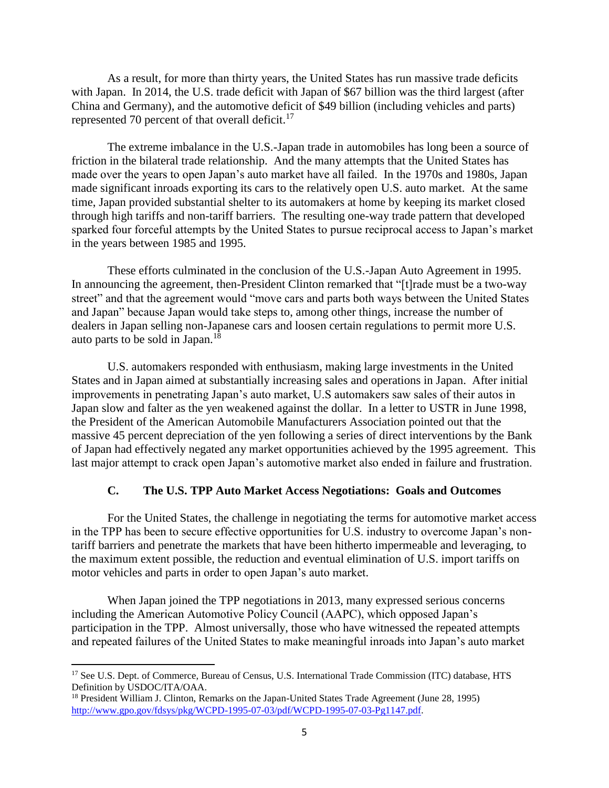As a result, for more than thirty years, the United States has run massive trade deficits with Japan. In 2014, the U.S. trade deficit with Japan of \$67 billion was the third largest (after China and Germany), and the automotive deficit of \$49 billion (including vehicles and parts) represented 70 percent of that overall deficit.<sup>17</sup>

The extreme imbalance in the U.S.-Japan trade in automobiles has long been a source of friction in the bilateral trade relationship. And the many attempts that the United States has made over the years to open Japan's auto market have all failed. In the 1970s and 1980s, Japan made significant inroads exporting its cars to the relatively open U.S. auto market. At the same time, Japan provided substantial shelter to its automakers at home by keeping its market closed through high tariffs and non-tariff barriers. The resulting one-way trade pattern that developed sparked four forceful attempts by the United States to pursue reciprocal access to Japan's market in the years between 1985 and 1995.

These efforts culminated in the conclusion of the U.S.-Japan Auto Agreement in 1995. In announcing the agreement, then-President Clinton remarked that "[t]rade must be a two-way street" and that the agreement would "move cars and parts both ways between the United States and Japan" because Japan would take steps to, among other things, increase the number of dealers in Japan selling non-Japanese cars and loosen certain regulations to permit more U.S. auto parts to be sold in Japan.<sup>18</sup>

U.S. automakers responded with enthusiasm, making large investments in the United States and in Japan aimed at substantially increasing sales and operations in Japan. After initial improvements in penetrating Japan's auto market, U.S automakers saw sales of their autos in Japan slow and falter as the yen weakened against the dollar. In a letter to USTR in June 1998, the President of the American Automobile Manufacturers Association pointed out that the massive 45 percent depreciation of the yen following a series of direct interventions by the Bank of Japan had effectively negated any market opportunities achieved by the 1995 agreement. This last major attempt to crack open Japan's automotive market also ended in failure and frustration.

### **C. The U.S. TPP Auto Market Access Negotiations: Goals and Outcomes**

For the United States, the challenge in negotiating the terms for automotive market access in the TPP has been to secure effective opportunities for U.S. industry to overcome Japan's nontariff barriers and penetrate the markets that have been hitherto impermeable and leveraging, to the maximum extent possible, the reduction and eventual elimination of U.S. import tariffs on motor vehicles and parts in order to open Japan's auto market.

When Japan joined the TPP negotiations in 2013, many expressed serious concerns including the American Automotive Policy Council (AAPC), which opposed Japan's participation in the TPP. Almost universally, those who have witnessed the repeated attempts and repeated failures of the United States to make meaningful inroads into Japan's auto market

<sup>&</sup>lt;sup>17</sup> See U.S. Dept. of Commerce, Bureau of Census, U.S. International Trade Commission (ITC) database, HTS Definition by USDOC/ITA/OAA.

<sup>&</sup>lt;sup>18</sup> President William J. Clinton, Remarks on the Japan-United States Trade Agreement (June 28, 1995) <http://www.gpo.gov/fdsys/pkg/WCPD-1995-07-03/pdf/WCPD-1995-07-03-Pg1147.pdf>.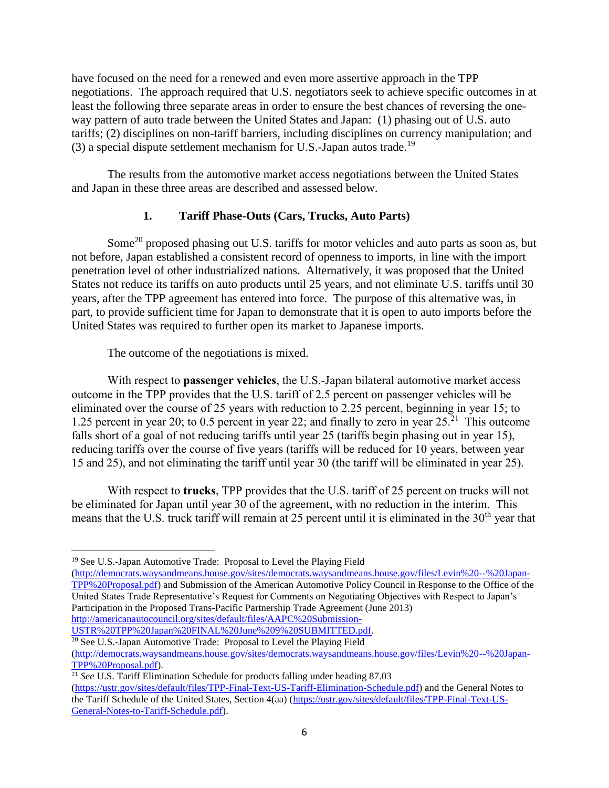have focused on the need for a renewed and even more assertive approach in the TPP negotiations. The approach required that U.S. negotiators seek to achieve specific outcomes in at least the following three separate areas in order to ensure the best chances of reversing the oneway pattern of auto trade between the United States and Japan: (1) phasing out of U.S. auto tariffs; (2) disciplines on non-tariff barriers, including disciplines on currency manipulation; and (3) a special dispute settlement mechanism for U.S.-Japan autos trade.<sup>19</sup>

The results from the automotive market access negotiations between the United States and Japan in these three areas are described and assessed below.

## **1. Tariff Phase-Outs (Cars, Trucks, Auto Parts)**

Some<sup>20</sup> proposed phasing out U.S. tariffs for motor vehicles and auto parts as soon as, but not before, Japan established a consistent record of openness to imports, in line with the import penetration level of other industrialized nations. Alternatively, it was proposed that the United States not reduce its tariffs on auto products until 25 years, and not eliminate U.S. tariffs until 30 years, after the TPP agreement has entered into force. The purpose of this alternative was, in part, to provide sufficient time for Japan to demonstrate that it is open to auto imports before the United States was required to further open its market to Japanese imports.

The outcome of the negotiations is mixed.

With respect to **passenger vehicles**, the U.S.-Japan bilateral automotive market access outcome in the TPP provides that the U.S. tariff of 2.5 percent on passenger vehicles will be eliminated over the course of 25 years with reduction to 2.25 percent, beginning in year 15; to 1.25 percent in year 20; to 0.5 percent in year 22; and finally to zero in year  $25.21$  This outcome falls short of a goal of not reducing tariffs until year 25 (tariffs begin phasing out in year 15), reducing tariffs over the course of five years (tariffs will be reduced for 10 years, between year 15 and 25), and not eliminating the tariff until year 30 (the tariff will be eliminated in year 25).

With respect to **trucks**, TPP provides that the U.S. tariff of 25 percent on trucks will not be eliminated for Japan until year 30 of the agreement, with no reduction in the interim. This means that the U.S. truck tariff will remain at 25 percent until it is eliminated in the 30<sup>th</sup> year that

 $\overline{a}$ 

[\(http://democrats.waysandmeans.house.gov/sites/democrats.waysandmeans.house.gov/files/Levin%20--%20Japan-](http://democrats.waysandmeans.house.gov/sites/democrats.waysandmeans.house.gov/files/Levin%20--%20Japan-TPP%20Proposal.pdf)[TPP%20Proposal.pdf\)](http://democrats.waysandmeans.house.gov/sites/democrats.waysandmeans.house.gov/files/Levin%20--%20Japan-TPP%20Proposal.pdf) and Submission of the American Automotive Policy Council in Response to the Office of the United States Trade Representative's Request for Comments on Negotiating Objectives with Respect to Japan's Participation in the Proposed Trans-Pacific Partnership Trade Agreement (June 2013) [http://americanautocouncil.org/sites/default/files/AAPC%20Submission-](http://americanautocouncil.org/sites/default/files/AAPC%20Submission-USTR%20TPP%20Japan%20FINAL%20June%209%20SUBMITTED.pdf)

[USTR%20TPP%20Japan%20FINAL%20June%209%20SUBMITTED.pdf.](http://americanautocouncil.org/sites/default/files/AAPC%20Submission-USTR%20TPP%20Japan%20FINAL%20June%209%20SUBMITTED.pdf)

<sup>20</sup> See U.S.-Japan Automotive Trade: Proposal to Level the Playing Field [\(http://democrats.waysandmeans.house.gov/sites/democrats.waysandmeans.house.gov/files/Levin%20--%20Japan-](http://democrats.waysandmeans.house.gov/sites/democrats.waysandmeans.house.gov/files/Levin%20--%20Japan-TPP%20Proposal.pdf)[TPP%20Proposal.pdf\)](http://democrats.waysandmeans.house.gov/sites/democrats.waysandmeans.house.gov/files/Levin%20--%20Japan-TPP%20Proposal.pdf).

<sup>&</sup>lt;sup>19</sup> See U.S.-Japan Automotive Trade: Proposal to Level the Playing Field

<sup>&</sup>lt;sup>21</sup> See U.S. Tariff Elimination Schedule for products falling under heading 87.03

[<sup>\(</sup>https://ustr.gov/sites/default/files/TPP-Final-Text-US-Tariff-Elimination-Schedule.pdf\)](https://ustr.gov/sites/default/files/TPP-Final-Text-US-Tariff-Elimination-Schedule.pdf) and the General Notes to the Tariff Schedule of the United States, Section 4(aa) [\(https://ustr.gov/sites/default/files/TPP-Final-Text-US-](https://ustr.gov/sites/default/files/TPP-Final-Text-US-General-Notes-to-Tariff-Schedule.pdf)[General-Notes-to-Tariff-Schedule.pdf\)](https://ustr.gov/sites/default/files/TPP-Final-Text-US-General-Notes-to-Tariff-Schedule.pdf).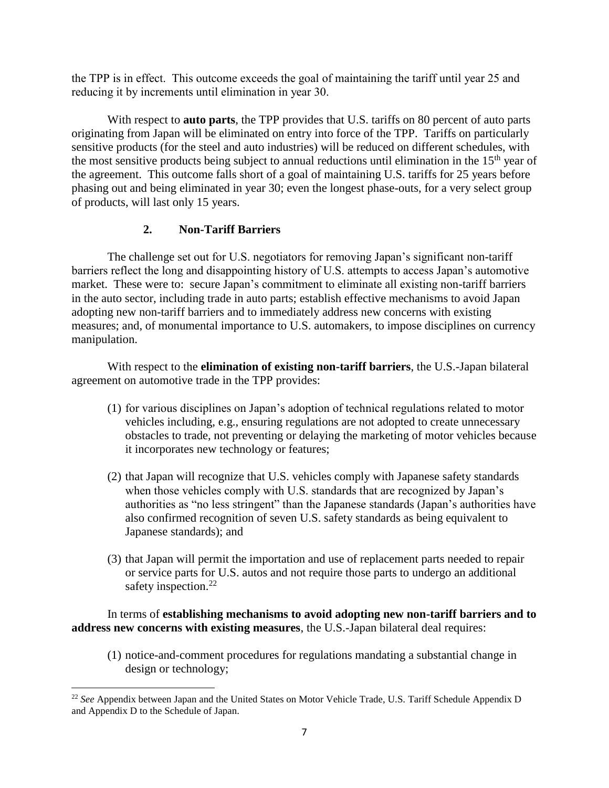the TPP is in effect. This outcome exceeds the goal of maintaining the tariff until year 25 and reducing it by increments until elimination in year 30.

With respect to **auto parts**, the TPP provides that U.S. tariffs on 80 percent of auto parts originating from Japan will be eliminated on entry into force of the TPP. Tariffs on particularly sensitive products (for the steel and auto industries) will be reduced on different schedules, with the most sensitive products being subject to annual reductions until elimination in the  $15<sup>th</sup>$  year of the agreement. This outcome falls short of a goal of maintaining U.S. tariffs for 25 years before phasing out and being eliminated in year 30; even the longest phase-outs, for a very select group of products, will last only 15 years.

## **2. Non-Tariff Barriers**

The challenge set out for U.S. negotiators for removing Japan's significant non-tariff barriers reflect the long and disappointing history of U.S. attempts to access Japan's automotive market. These were to: secure Japan's commitment to eliminate all existing non-tariff barriers in the auto sector, including trade in auto parts; establish effective mechanisms to avoid Japan adopting new non-tariff barriers and to immediately address new concerns with existing measures; and, of monumental importance to U.S. automakers, to impose disciplines on currency manipulation.

With respect to the **elimination of existing non-tariff barriers**, the U.S.-Japan bilateral agreement on automotive trade in the TPP provides:

- (1) for various disciplines on Japan's adoption of technical regulations related to motor vehicles including, e.g., ensuring regulations are not adopted to create unnecessary obstacles to trade, not preventing or delaying the marketing of motor vehicles because it incorporates new technology or features;
- (2) that Japan will recognize that U.S. vehicles comply with Japanese safety standards when those vehicles comply with U.S. standards that are recognized by Japan's authorities as "no less stringent" than the Japanese standards (Japan's authorities have also confirmed recognition of seven U.S. safety standards as being equivalent to Japanese standards); and
- (3) that Japan will permit the importation and use of replacement parts needed to repair or service parts for U.S. autos and not require those parts to undergo an additional safety inspection. $^{22}$

## In terms of **establishing mechanisms to avoid adopting new non-tariff barriers and to address new concerns with existing measures**, the U.S.-Japan bilateral deal requires:

(1) notice-and-comment procedures for regulations mandating a substantial change in design or technology;

 $\overline{\phantom{a}}$ <sup>22</sup> *See* Appendix between Japan and the United States on Motor Vehicle Trade, U.S. Tariff Schedule Appendix D and Appendix D to the Schedule of Japan.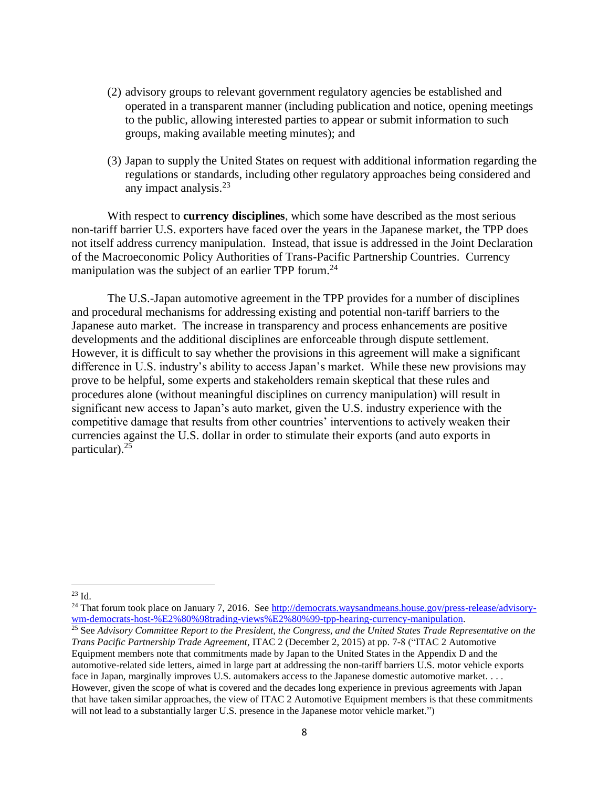- (2) advisory groups to relevant government regulatory agencies be established and operated in a transparent manner (including publication and notice, opening meetings to the public, allowing interested parties to appear or submit information to such groups, making available meeting minutes); and
- (3) Japan to supply the United States on request with additional information regarding the regulations or standards, including other regulatory approaches being considered and any impact analysis. $2<sup>3</sup>$

With respect to **currency disciplines**, which some have described as the most serious non-tariff barrier U.S. exporters have faced over the years in the Japanese market, the TPP does not itself address currency manipulation. Instead, that issue is addressed in the Joint Declaration of the Macroeconomic Policy Authorities of Trans-Pacific Partnership Countries. Currency manipulation was the subject of an earlier TPP forum.<sup>24</sup>

The U.S.-Japan automotive agreement in the TPP provides for a number of disciplines and procedural mechanisms for addressing existing and potential non-tariff barriers to the Japanese auto market. The increase in transparency and process enhancements are positive developments and the additional disciplines are enforceable through dispute settlement. However, it is difficult to say whether the provisions in this agreement will make a significant difference in U.S. industry's ability to access Japan's market. While these new provisions may prove to be helpful, some experts and stakeholders remain skeptical that these rules and procedures alone (without meaningful disciplines on currency manipulation) will result in significant new access to Japan's auto market, given the U.S. industry experience with the competitive damage that results from other countries' interventions to actively weaken their currencies against the U.S. dollar in order to stimulate their exports (and auto exports in particular). 25

<sup>23</sup> Id.

<sup>&</sup>lt;sup>24</sup> That forum took place on January 7, 2016. See  $\frac{http://democrates.waysandmeans.house.gov/press-release/advisor-y$ [wm-democrats-host-%E2%80%98trading-views%E2%80%99-tpp-hearing-currency-manipulation.](http://democrats.waysandmeans.house.gov/press-release/advisory-wm-democrats-host-%E2%80%98trading-views%E2%80%99-tpp-hearing-currency-manipulation)

<sup>&</sup>lt;sup>25</sup> See *Advisory Committee Report to the President, the Congress, and the United States Trade Representative on the Trans Pacific Partnership Trade Agreement*, ITAC 2 (December 2, 2015) at pp. 7-8 ("ITAC 2 Automotive Equipment members note that commitments made by Japan to the United States in the Appendix D and the automotive-related side letters, aimed in large part at addressing the non-tariff barriers U.S. motor vehicle exports face in Japan, marginally improves U.S. automakers access to the Japanese domestic automotive market. . . . However, given the scope of what is covered and the decades long experience in previous agreements with Japan that have taken similar approaches, the view of ITAC 2 Automotive Equipment members is that these commitments will not lead to a substantially larger U.S. presence in the Japanese motor vehicle market.")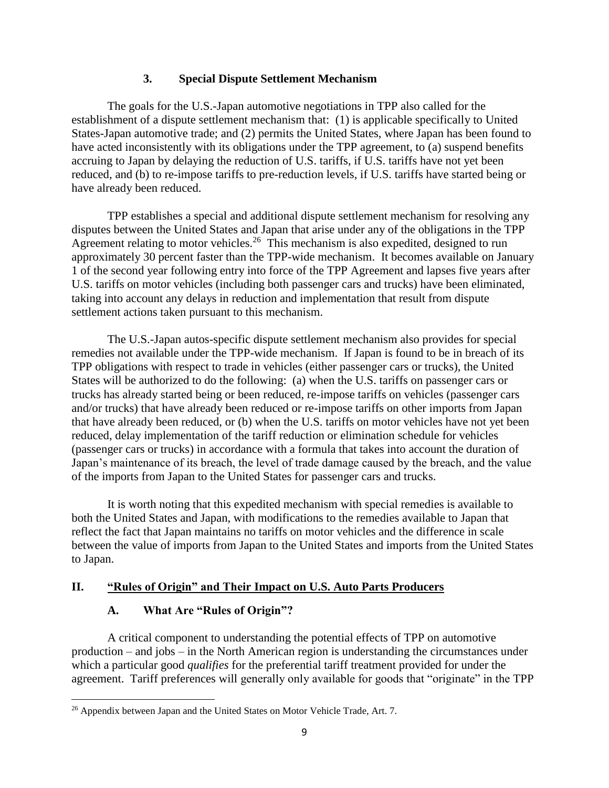### **3. Special Dispute Settlement Mechanism**

The goals for the U.S.-Japan automotive negotiations in TPP also called for the establishment of a dispute settlement mechanism that: (1) is applicable specifically to United States-Japan automotive trade; and (2) permits the United States, where Japan has been found to have acted inconsistently with its obligations under the TPP agreement, to (a) suspend benefits accruing to Japan by delaying the reduction of U.S. tariffs, if U.S. tariffs have not yet been reduced, and (b) to re-impose tariffs to pre-reduction levels, if U.S. tariffs have started being or have already been reduced.

TPP establishes a special and additional dispute settlement mechanism for resolving any disputes between the United States and Japan that arise under any of the obligations in the TPP Agreement relating to motor vehicles.<sup>26</sup> This mechanism is also expedited, designed to run approximately 30 percent faster than the TPP-wide mechanism. It becomes available on January 1 of the second year following entry into force of the TPP Agreement and lapses five years after U.S. tariffs on motor vehicles (including both passenger cars and trucks) have been eliminated, taking into account any delays in reduction and implementation that result from dispute settlement actions taken pursuant to this mechanism.

The U.S.-Japan autos-specific dispute settlement mechanism also provides for special remedies not available under the TPP-wide mechanism. If Japan is found to be in breach of its TPP obligations with respect to trade in vehicles (either passenger cars or trucks), the United States will be authorized to do the following: (a) when the U.S. tariffs on passenger cars or trucks has already started being or been reduced, re-impose tariffs on vehicles (passenger cars and/or trucks) that have already been reduced or re-impose tariffs on other imports from Japan that have already been reduced, or (b) when the U.S. tariffs on motor vehicles have not yet been reduced, delay implementation of the tariff reduction or elimination schedule for vehicles (passenger cars or trucks) in accordance with a formula that takes into account the duration of Japan's maintenance of its breach, the level of trade damage caused by the breach, and the value of the imports from Japan to the United States for passenger cars and trucks.

It is worth noting that this expedited mechanism with special remedies is available to both the United States and Japan, with modifications to the remedies available to Japan that reflect the fact that Japan maintains no tariffs on motor vehicles and the difference in scale between the value of imports from Japan to the United States and imports from the United States to Japan.

## **II. "Rules of Origin" and Their Impact on U.S. Auto Parts Producers**

## **A. What Are "Rules of Origin"?**

 $\overline{\phantom{a}}$ 

A critical component to understanding the potential effects of TPP on automotive production – and jobs – in the North American region is understanding the circumstances under which a particular good *qualifies* for the preferential tariff treatment provided for under the agreement. Tariff preferences will generally only available for goods that "originate" in the TPP

<sup>&</sup>lt;sup>26</sup> Appendix between Japan and the United States on Motor Vehicle Trade, Art. 7.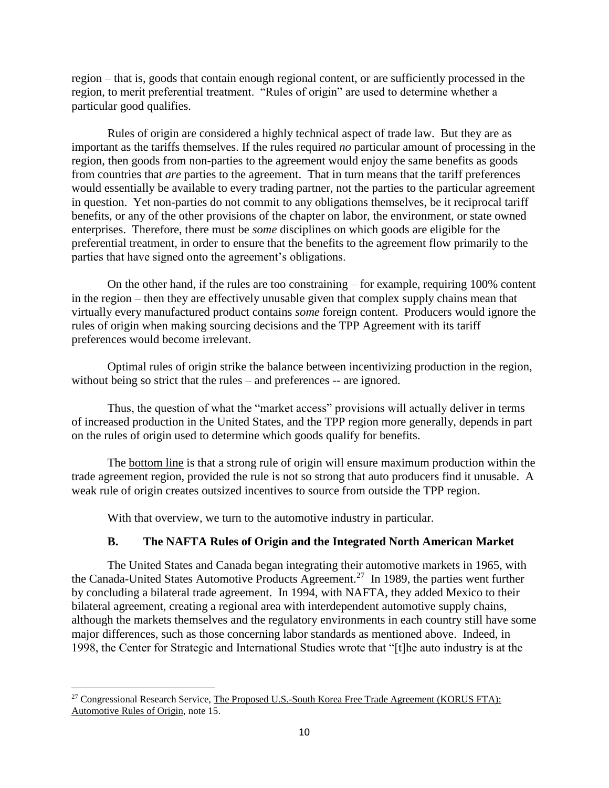region – that is, goods that contain enough regional content, or are sufficiently processed in the region, to merit preferential treatment. "Rules of origin" are used to determine whether a particular good qualifies.

Rules of origin are considered a highly technical aspect of trade law. But they are as important as the tariffs themselves. If the rules required *no* particular amount of processing in the region, then goods from non-parties to the agreement would enjoy the same benefits as goods from countries that *are* parties to the agreement. That in turn means that the tariff preferences would essentially be available to every trading partner, not the parties to the particular agreement in question. Yet non-parties do not commit to any obligations themselves, be it reciprocal tariff benefits, or any of the other provisions of the chapter on labor, the environment, or state owned enterprises. Therefore, there must be *some* disciplines on which goods are eligible for the preferential treatment, in order to ensure that the benefits to the agreement flow primarily to the parties that have signed onto the agreement's obligations.

On the other hand, if the rules are too constraining – for example, requiring 100% content in the region – then they are effectively unusable given that complex supply chains mean that virtually every manufactured product contains *some* foreign content. Producers would ignore the rules of origin when making sourcing decisions and the TPP Agreement with its tariff preferences would become irrelevant.

Optimal rules of origin strike the balance between incentivizing production in the region, without being so strict that the rules – and preferences -- are ignored.

Thus, the question of what the "market access" provisions will actually deliver in terms of increased production in the United States, and the TPP region more generally, depends in part on the rules of origin used to determine which goods qualify for benefits.

The bottom line is that a strong rule of origin will ensure maximum production within the trade agreement region, provided the rule is not so strong that auto producers find it unusable. A weak rule of origin creates outsized incentives to source from outside the TPP region.

With that overview, we turn to the automotive industry in particular.

## **B. The NAFTA Rules of Origin and the Integrated North American Market**

The United States and Canada began integrating their automotive markets in 1965, with the Canada-United States Automotive Products Agreement.<sup>27</sup> In 1989, the parties went further by concluding a bilateral trade agreement. In 1994, with NAFTA, they added Mexico to their bilateral agreement, creating a regional area with interdependent automotive supply chains, although the markets themselves and the regulatory environments in each country still have some major differences, such as those concerning labor standards as mentioned above. Indeed, in 1998, the Center for Strategic and International Studies wrote that "[t]he auto industry is at the

<sup>&</sup>lt;sup>27</sup> Congressional Research Service, The Proposed U.S.-South Korea Free Trade Agreement (KORUS FTA): Automotive Rules of Origin, note 15.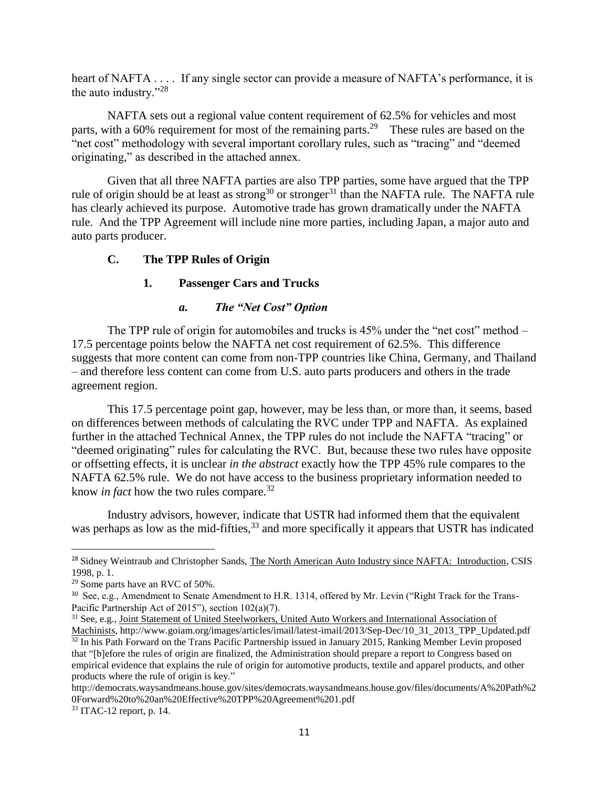heart of NAFTA . . . . If any single sector can provide a measure of NAFTA's performance, it is the auto industry."<sup>28</sup>

NAFTA sets out a regional value content requirement of 62.5% for vehicles and most parts, with a 60% requirement for most of the remaining parts.<sup>29</sup> These rules are based on the "net cost" methodology with several important corollary rules, such as "tracing" and "deemed originating," as described in the attached annex.

Given that all three NAFTA parties are also TPP parties, some have argued that the TPP rule of origin should be at least as strong<sup>30</sup> or stronger<sup>31</sup> than the NAFTA rule. The NAFTA rule has clearly achieved its purpose. Automotive trade has grown dramatically under the NAFTA rule. And the TPP Agreement will include nine more parties, including Japan, a major auto and auto parts producer.

### **C. The TPP Rules of Origin**

## **1. Passenger Cars and Trucks**

## *a. The "Net Cost" Option*

The TPP rule of origin for automobiles and trucks is  $45\%$  under the "net cost" method – 17.5 percentage points below the NAFTA net cost requirement of 62.5%. This difference suggests that more content can come from non-TPP countries like China, Germany, and Thailand – and therefore less content can come from U.S. auto parts producers and others in the trade agreement region.

This 17.5 percentage point gap, however, may be less than, or more than, it seems, based on differences between methods of calculating the RVC under TPP and NAFTA. As explained further in the attached Technical Annex, the TPP rules do not include the NAFTA "tracing" or "deemed originating" rules for calculating the RVC. But, because these two rules have opposite or offsetting effects, it is unclear *in the abstract* exactly how the TPP 45% rule compares to the NAFTA 62.5% rule. We do not have access to the business proprietary information needed to know *in fact* how the two rules compare.<sup>32</sup>

Industry advisors, however, indicate that USTR had informed them that the equivalent was perhaps as low as the mid-fifties,<sup>33</sup> and more specifically it appears that USTR has indicated

l

<sup>&</sup>lt;sup>28</sup> Sidney Weintraub and Christopher Sands, The North American Auto Industry since NAFTA: Introduction, CSIS 1998, p. 1.

<sup>29</sup> Some parts have an RVC of 50%.

<sup>&</sup>lt;sup>30</sup> See, e.g., Amendment to Senate Amendment to H.R. 1314, offered by Mr. Levin ("Right Track for the Trans-Pacific Partnership Act of 2015"), section 102(a)(7).

<sup>&</sup>lt;sup>31</sup> See, e.g., Joint Statement of United Steelworkers, United Auto Workers and International Association of Machinists, http://www.goiam.org/images/articles/imail/latest-imail/2013/Sep-Dec/10\_31\_2013\_TPP\_Updated.pdf  $32$  In his Path Forward on the Trans Pacific Partnership issued in January 2015, Ranking Member Levin proposed that "[b]efore the rules of origin are finalized, the Administration should prepare a report to Congress based on empirical evidence that explains the rule of origin for automotive products, textile and apparel products, and other products where the rule of origin is key."

http://democrats.waysandmeans.house.gov/sites/democrats.waysandmeans.house.gov/files/documents/A%20Path%2 0Forward%20to%20an%20Effective%20TPP%20Agreement%201.pdf

<sup>33</sup> ITAC-12 report, p. 14.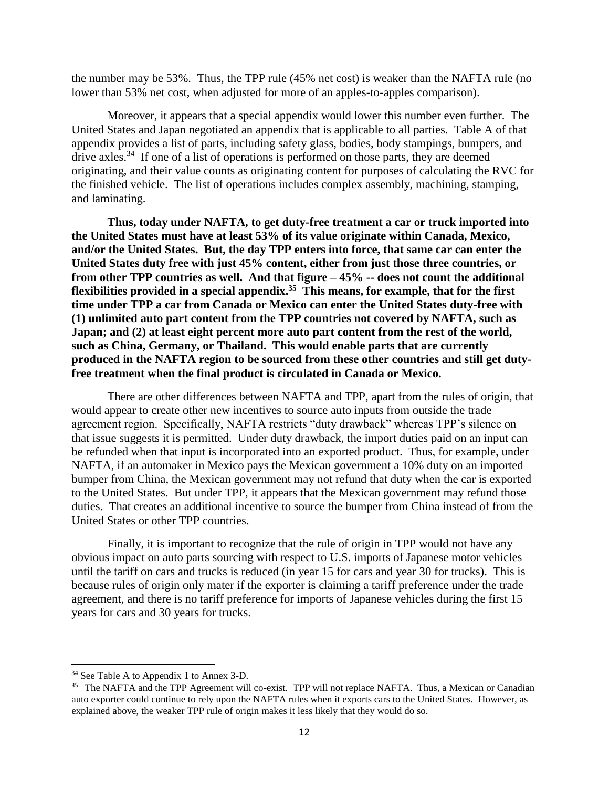the number may be 53%. Thus, the TPP rule (45% net cost) is weaker than the NAFTA rule (no lower than 53% net cost, when adjusted for more of an apples-to-apples comparison).

Moreover, it appears that a special appendix would lower this number even further. The United States and Japan negotiated an appendix that is applicable to all parties. Table A of that appendix provides a list of parts, including safety glass, bodies, body stampings, bumpers, and drive axles.<sup>34</sup> If one of a list of operations is performed on those parts, they are deemed originating, and their value counts as originating content for purposes of calculating the RVC for the finished vehicle. The list of operations includes complex assembly, machining, stamping, and laminating.

**Thus, today under NAFTA, to get duty-free treatment a car or truck imported into the United States must have at least 53% of its value originate within Canada, Mexico, and/or the United States. But, the day TPP enters into force, that same car can enter the United States duty free with just 45% content, either from just those three countries, or from other TPP countries as well. And that figure – 45% -- does not count the additional flexibilities provided in a special appendix.<sup>35</sup> This means, for example, that for the first time under TPP a car from Canada or Mexico can enter the United States duty-free with (1) unlimited auto part content from the TPP countries not covered by NAFTA, such as Japan; and (2) at least eight percent more auto part content from the rest of the world, such as China, Germany, or Thailand. This would enable parts that are currently produced in the NAFTA region to be sourced from these other countries and still get dutyfree treatment when the final product is circulated in Canada or Mexico.**

There are other differences between NAFTA and TPP, apart from the rules of origin, that would appear to create other new incentives to source auto inputs from outside the trade agreement region. Specifically, NAFTA restricts "duty drawback" whereas TPP's silence on that issue suggests it is permitted. Under duty drawback, the import duties paid on an input can be refunded when that input is incorporated into an exported product. Thus, for example, under NAFTA, if an automaker in Mexico pays the Mexican government a 10% duty on an imported bumper from China, the Mexican government may not refund that duty when the car is exported to the United States. But under TPP, it appears that the Mexican government may refund those duties. That creates an additional incentive to source the bumper from China instead of from the United States or other TPP countries.

Finally, it is important to recognize that the rule of origin in TPP would not have any obvious impact on auto parts sourcing with respect to U.S. imports of Japanese motor vehicles until the tariff on cars and trucks is reduced (in year 15 for cars and year 30 for trucks). This is because rules of origin only mater if the exporter is claiming a tariff preference under the trade agreement, and there is no tariff preference for imports of Japanese vehicles during the first 15 years for cars and 30 years for trucks.

<sup>34</sup> See Table A to Appendix 1 to Annex 3-D.

<sup>&</sup>lt;sup>35</sup> The NAFTA and the TPP Agreement will co-exist. TPP will not replace NAFTA. Thus, a Mexican or Canadian auto exporter could continue to rely upon the NAFTA rules when it exports cars to the United States. However, as explained above, the weaker TPP rule of origin makes it less likely that they would do so.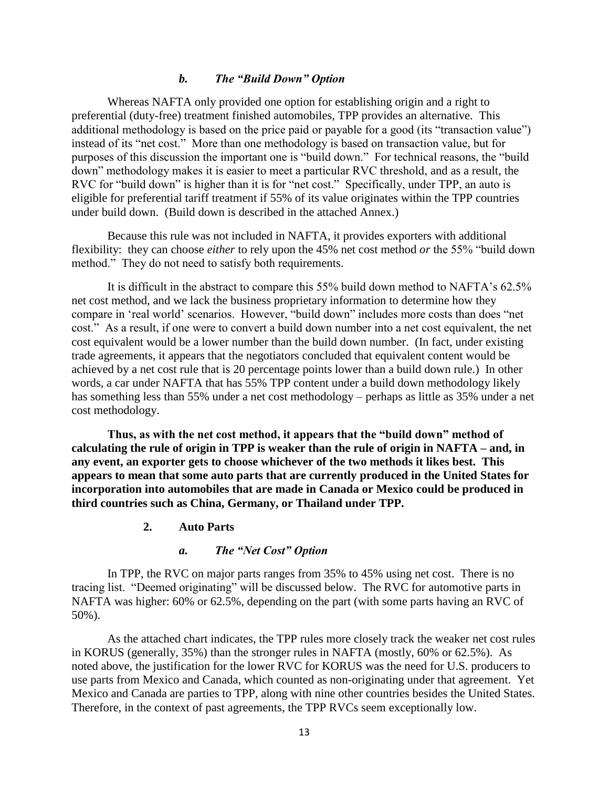#### *b. The "Build Down" Option*

Whereas NAFTA only provided one option for establishing origin and a right to preferential (duty-free) treatment finished automobiles, TPP provides an alternative. This additional methodology is based on the price paid or payable for a good (its "transaction value") instead of its "net cost." More than one methodology is based on transaction value, but for purposes of this discussion the important one is "build down." For technical reasons, the "build down" methodology makes it is easier to meet a particular RVC threshold, and as a result, the RVC for "build down" is higher than it is for "net cost." Specifically, under TPP, an auto is eligible for preferential tariff treatment if 55% of its value originates within the TPP countries under build down. (Build down is described in the attached Annex.)

Because this rule was not included in NAFTA, it provides exporters with additional flexibility: they can choose *either* to rely upon the 45% net cost method *or* the 55% "build down method." They do not need to satisfy both requirements.

It is difficult in the abstract to compare this 55% build down method to NAFTA's 62.5% net cost method, and we lack the business proprietary information to determine how they compare in 'real world' scenarios. However, "build down" includes more costs than does "net cost." As a result, if one were to convert a build down number into a net cost equivalent, the net cost equivalent would be a lower number than the build down number. (In fact, under existing trade agreements, it appears that the negotiators concluded that equivalent content would be achieved by a net cost rule that is 20 percentage points lower than a build down rule.) In other words, a car under NAFTA that has 55% TPP content under a build down methodology likely has something less than 55% under a net cost methodology – perhaps as little as 35% under a net cost methodology.

**Thus, as with the net cost method, it appears that the "build down" method of calculating the rule of origin in TPP is weaker than the rule of origin in NAFTA – and, in any event, an exporter gets to choose whichever of the two methods it likes best. This appears to mean that some auto parts that are currently produced in the United States for incorporation into automobiles that are made in Canada or Mexico could be produced in third countries such as China, Germany, or Thailand under TPP.**

#### **2. Auto Parts**

#### *a. The "Net Cost" Option*

In TPP, the RVC on major parts ranges from 35% to 45% using net cost. There is no tracing list. "Deemed originating" will be discussed below. The RVC for automotive parts in NAFTA was higher: 60% or 62.5%, depending on the part (with some parts having an RVC of 50%).

As the attached chart indicates, the TPP rules more closely track the weaker net cost rules in KORUS (generally, 35%) than the stronger rules in NAFTA (mostly, 60% or 62.5%). As noted above, the justification for the lower RVC for KORUS was the need for U.S. producers to use parts from Mexico and Canada, which counted as non-originating under that agreement. Yet Mexico and Canada are parties to TPP, along with nine other countries besides the United States. Therefore, in the context of past agreements, the TPP RVCs seem exceptionally low.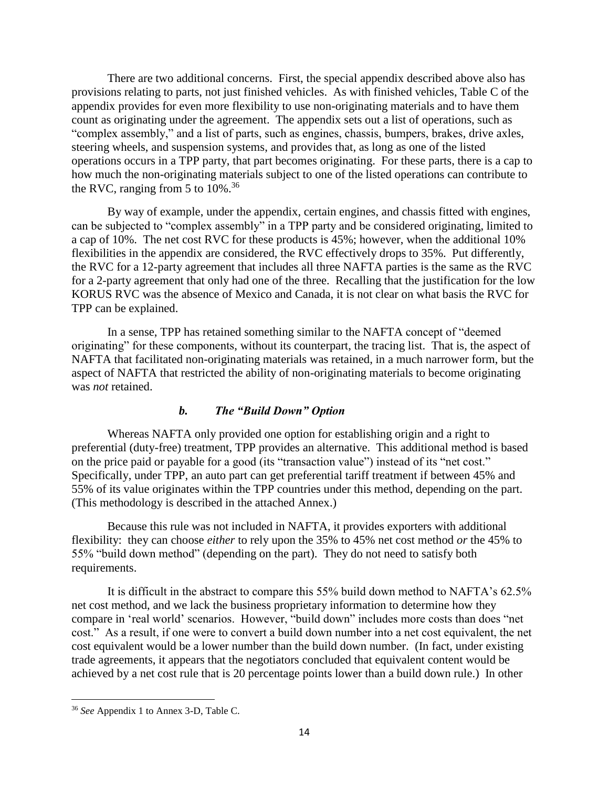There are two additional concerns. First, the special appendix described above also has provisions relating to parts, not just finished vehicles. As with finished vehicles, Table C of the appendix provides for even more flexibility to use non-originating materials and to have them count as originating under the agreement. The appendix sets out a list of operations, such as "complex assembly," and a list of parts, such as engines, chassis, bumpers, brakes, drive axles, steering wheels, and suspension systems, and provides that, as long as one of the listed operations occurs in a TPP party, that part becomes originating. For these parts, there is a cap to how much the non-originating materials subject to one of the listed operations can contribute to the RVC, ranging from 5 to  $10\%$ .<sup>36</sup>

By way of example, under the appendix, certain engines, and chassis fitted with engines, can be subjected to "complex assembly" in a TPP party and be considered originating, limited to a cap of 10%. The net cost RVC for these products is 45%; however, when the additional 10% flexibilities in the appendix are considered, the RVC effectively drops to 35%. Put differently, the RVC for a 12-party agreement that includes all three NAFTA parties is the same as the RVC for a 2-party agreement that only had one of the three. Recalling that the justification for the low KORUS RVC was the absence of Mexico and Canada, it is not clear on what basis the RVC for TPP can be explained.

In a sense, TPP has retained something similar to the NAFTA concept of "deemed originating" for these components, without its counterpart, the tracing list. That is, the aspect of NAFTA that facilitated non-originating materials was retained, in a much narrower form, but the aspect of NAFTA that restricted the ability of non-originating materials to become originating was *not* retained.

### *b. The "Build Down" Option*

Whereas NAFTA only provided one option for establishing origin and a right to preferential (duty-free) treatment, TPP provides an alternative. This additional method is based on the price paid or payable for a good (its "transaction value") instead of its "net cost." Specifically, under TPP, an auto part can get preferential tariff treatment if between 45% and 55% of its value originates within the TPP countries under this method, depending on the part. (This methodology is described in the attached Annex.)

Because this rule was not included in NAFTA, it provides exporters with additional flexibility: they can choose *either* to rely upon the 35% to 45% net cost method *or* the 45% to 55% "build down method" (depending on the part). They do not need to satisfy both requirements.

It is difficult in the abstract to compare this 55% build down method to NAFTA's 62.5% net cost method, and we lack the business proprietary information to determine how they compare in 'real world' scenarios. However, "build down" includes more costs than does "net cost." As a result, if one were to convert a build down number into a net cost equivalent, the net cost equivalent would be a lower number than the build down number. (In fact, under existing trade agreements, it appears that the negotiators concluded that equivalent content would be achieved by a net cost rule that is 20 percentage points lower than a build down rule.) In other

<sup>36</sup> *See* Appendix 1 to Annex 3-D, Table C.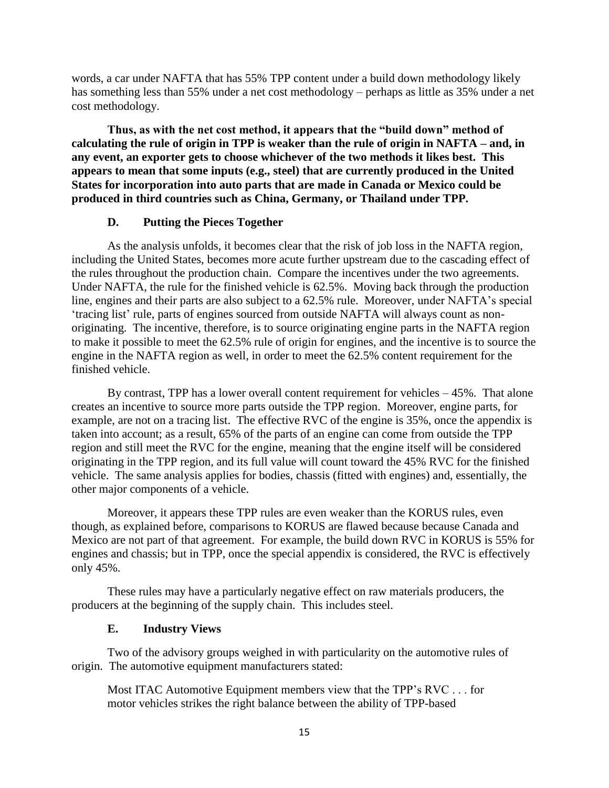words, a car under NAFTA that has 55% TPP content under a build down methodology likely has something less than 55% under a net cost methodology – perhaps as little as 35% under a net cost methodology.

**Thus, as with the net cost method, it appears that the "build down" method of calculating the rule of origin in TPP is weaker than the rule of origin in NAFTA – and, in any event, an exporter gets to choose whichever of the two methods it likes best. This appears to mean that some inputs (e.g., steel) that are currently produced in the United States for incorporation into auto parts that are made in Canada or Mexico could be produced in third countries such as China, Germany, or Thailand under TPP.**

#### **D. Putting the Pieces Together**

As the analysis unfolds, it becomes clear that the risk of job loss in the NAFTA region, including the United States, becomes more acute further upstream due to the cascading effect of the rules throughout the production chain. Compare the incentives under the two agreements. Under NAFTA, the rule for the finished vehicle is 62.5%. Moving back through the production line, engines and their parts are also subject to a 62.5% rule. Moreover, under NAFTA's special 'tracing list' rule, parts of engines sourced from outside NAFTA will always count as nonoriginating. The incentive, therefore, is to source originating engine parts in the NAFTA region to make it possible to meet the 62.5% rule of origin for engines, and the incentive is to source the engine in the NAFTA region as well, in order to meet the 62.5% content requirement for the finished vehicle.

By contrast, TPP has a lower overall content requirement for vehicles  $-45\%$ . That alone creates an incentive to source more parts outside the TPP region. Moreover, engine parts, for example, are not on a tracing list. The effective RVC of the engine is 35%, once the appendix is taken into account; as a result, 65% of the parts of an engine can come from outside the TPP region and still meet the RVC for the engine, meaning that the engine itself will be considered originating in the TPP region, and its full value will count toward the 45% RVC for the finished vehicle. The same analysis applies for bodies, chassis (fitted with engines) and, essentially, the other major components of a vehicle.

Moreover, it appears these TPP rules are even weaker than the KORUS rules, even though, as explained before, comparisons to KORUS are flawed because because Canada and Mexico are not part of that agreement. For example, the build down RVC in KORUS is 55% for engines and chassis; but in TPP, once the special appendix is considered, the RVC is effectively only 45%.

These rules may have a particularly negative effect on raw materials producers, the producers at the beginning of the supply chain. This includes steel.

#### **E. Industry Views**

Two of the advisory groups weighed in with particularity on the automotive rules of origin. The automotive equipment manufacturers stated:

Most ITAC Automotive Equipment members view that the TPP's RVC . . . for motor vehicles strikes the right balance between the ability of TPP-based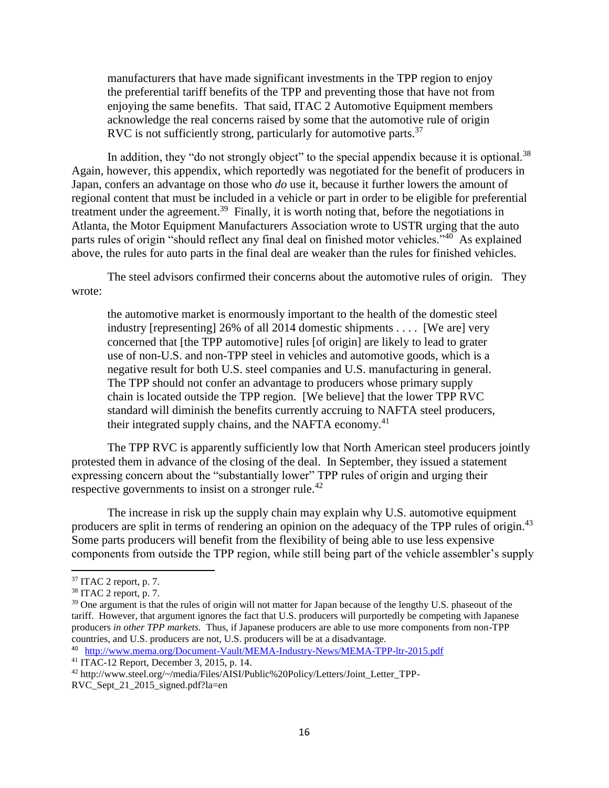manufacturers that have made significant investments in the TPP region to enjoy the preferential tariff benefits of the TPP and preventing those that have not from enjoying the same benefits. That said, ITAC 2 Automotive Equipment members acknowledge the real concerns raised by some that the automotive rule of origin RVC is not sufficiently strong, particularly for automotive parts.<sup>37</sup>

In addition, they "do not strongly object" to the special appendix because it is optional.<sup>38</sup> Again, however, this appendix, which reportedly was negotiated for the benefit of producers in Japan, confers an advantage on those who *do* use it, because it further lowers the amount of regional content that must be included in a vehicle or part in order to be eligible for preferential treatment under the agreement.<sup>39</sup> Finally, it is worth noting that, before the negotiations in Atlanta, the Motor Equipment Manufacturers Association wrote to USTR urging that the auto parts rules of origin "should reflect any final deal on finished motor vehicles."<sup>40</sup> As explained above, the rules for auto parts in the final deal are weaker than the rules for finished vehicles.

The steel advisors confirmed their concerns about the automotive rules of origin. They wrote:

the automotive market is enormously important to the health of the domestic steel industry [representing] 26% of all 2014 domestic shipments . . . . [We are] very concerned that [the TPP automotive] rules [of origin] are likely to lead to grater use of non-U.S. and non-TPP steel in vehicles and automotive goods, which is a negative result for both U.S. steel companies and U.S. manufacturing in general. The TPP should not confer an advantage to producers whose primary supply chain is located outside the TPP region. [We believe] that the lower TPP RVC standard will diminish the benefits currently accruing to NAFTA steel producers, their integrated supply chains, and the NAFTA economy.<sup>41</sup>

The TPP RVC is apparently sufficiently low that North American steel producers jointly protested them in advance of the closing of the deal. In September, they issued a statement expressing concern about the "substantially lower" TPP rules of origin and urging their respective governments to insist on a stronger rule.<sup>42</sup>

The increase in risk up the supply chain may explain why U.S. automotive equipment producers are split in terms of rendering an opinion on the adequacy of the TPP rules of origin.<sup>43</sup> Some parts producers will benefit from the flexibility of being able to use less expensive components from outside the TPP region, while still being part of the vehicle assembler's supply

 $37$  ITAC 2 report, p. 7.

 $38$  ITAC 2 report, p. 7.

<sup>&</sup>lt;sup>39</sup> One argument is that the rules of origin will not matter for Japan because of the lengthy U.S. phaseout of the tariff. However, that argument ignores the fact that U.S. producers will purportedly be competing with Japanese producers *in other TPP markets.* Thus, if Japanese producers are able to use more components from non-TPP countries, and U.S. producers are not, U.S. producers will be at a disadvantage.

<sup>&</sup>lt;sup>40</sup> <http://www.mema.org/Document-Vault/MEMA-Industry-News/MEMA-TPP-ltr-2015.pdf>

<sup>41</sup> ITAC-12 Report, December 3, 2015, p. 14.

<sup>42</sup> http://www.steel.org/~/media/Files/AISI/Public%20Policy/Letters/Joint\_Letter\_TPP-

RVC Sept 21 2015 signed.pdf?la=en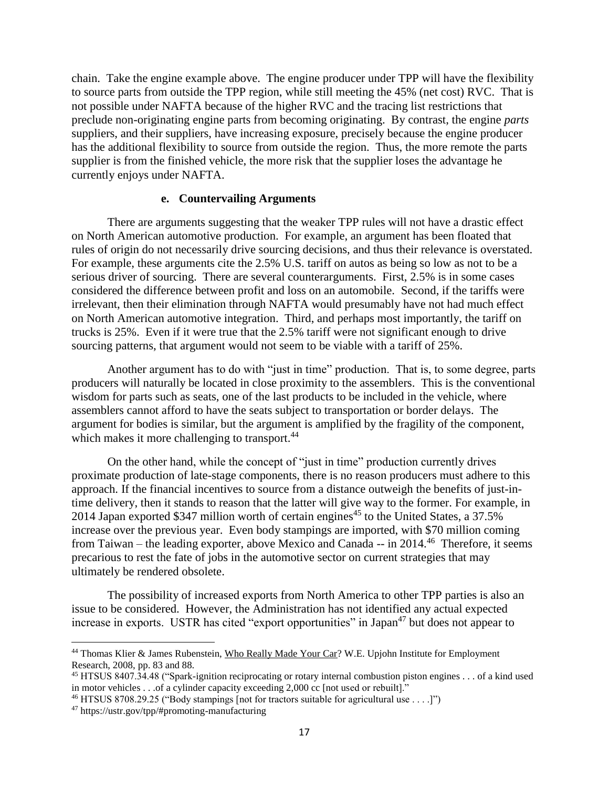chain. Take the engine example above. The engine producer under TPP will have the flexibility to source parts from outside the TPP region, while still meeting the 45% (net cost) RVC. That is not possible under NAFTA because of the higher RVC and the tracing list restrictions that preclude non-originating engine parts from becoming originating. By contrast, the engine *parts* suppliers, and their suppliers, have increasing exposure, precisely because the engine producer has the additional flexibility to source from outside the region. Thus, the more remote the parts supplier is from the finished vehicle, the more risk that the supplier loses the advantage he currently enjoys under NAFTA.

#### **e. Countervailing Arguments**

There are arguments suggesting that the weaker TPP rules will not have a drastic effect on North American automotive production. For example, an argument has been floated that rules of origin do not necessarily drive sourcing decisions, and thus their relevance is overstated. For example, these arguments cite the 2.5% U.S. tariff on autos as being so low as not to be a serious driver of sourcing. There are several counterarguments. First, 2.5% is in some cases considered the difference between profit and loss on an automobile. Second, if the tariffs were irrelevant, then their elimination through NAFTA would presumably have not had much effect on North American automotive integration. Third, and perhaps most importantly, the tariff on trucks is 25%. Even if it were true that the 2.5% tariff were not significant enough to drive sourcing patterns, that argument would not seem to be viable with a tariff of 25%.

Another argument has to do with "just in time" production. That is, to some degree, parts producers will naturally be located in close proximity to the assemblers. This is the conventional wisdom for parts such as seats, one of the last products to be included in the vehicle, where assemblers cannot afford to have the seats subject to transportation or border delays. The argument for bodies is similar, but the argument is amplified by the fragility of the component, which makes it more challenging to transport.<sup>44</sup>

On the other hand, while the concept of "just in time" production currently drives proximate production of late-stage components, there is no reason producers must adhere to this approach. If the financial incentives to source from a distance outweigh the benefits of just-intime delivery, then it stands to reason that the latter will give way to the former. For example, in 2014 Japan exported \$347 million worth of certain engines<sup>45</sup> to the United States, a  $37.5\%$ increase over the previous year. Even body stampings are imported, with \$70 million coming from Taiwan – the leading exporter, above Mexico and Canada -- in 2014.<sup>46</sup> Therefore, it seems precarious to rest the fate of jobs in the automotive sector on current strategies that may ultimately be rendered obsolete.

The possibility of increased exports from North America to other TPP parties is also an issue to be considered. However, the Administration has not identified any actual expected increase in exports. USTR has cited "export opportunities" in Japan<sup>47</sup> but does not appear to

l

<sup>&</sup>lt;sup>44</sup> Thomas Klier & James Rubenstein, Who Really Made Your Car? W.E. Upjohn Institute for Employment Research, 2008, pp. 83 and 88.

<sup>45</sup> HTSUS 8407.34.48 ("Spark-ignition reciprocating or rotary internal combustion piston engines . . . of a kind used in motor vehicles . . .of a cylinder capacity exceeding 2,000 cc [not used or rebuilt]."

<sup>&</sup>lt;sup>46</sup> HTSUS 8708.29.25 ("Body stampings [not for tractors suitable for agricultural use . . . .]")

<sup>47</sup> https://ustr.gov/tpp/#promoting-manufacturing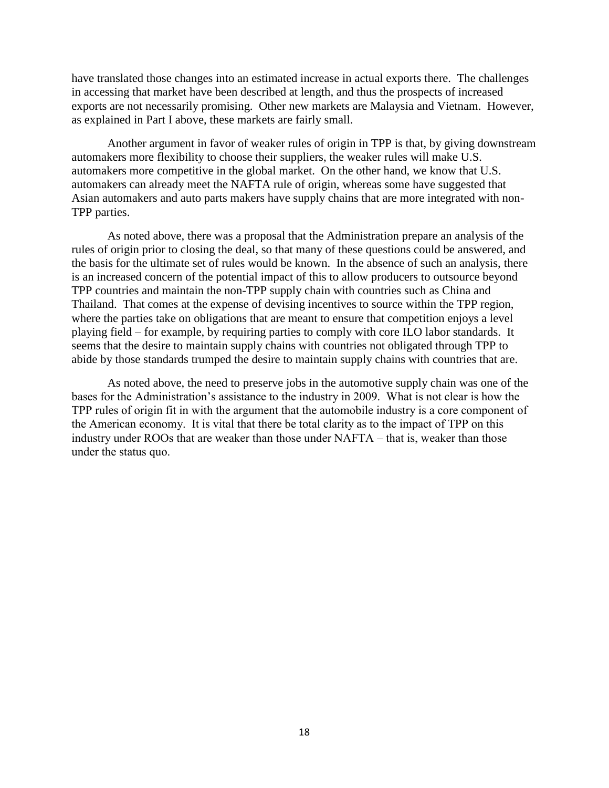have translated those changes into an estimated increase in actual exports there. The challenges in accessing that market have been described at length, and thus the prospects of increased exports are not necessarily promising. Other new markets are Malaysia and Vietnam. However, as explained in Part I above, these markets are fairly small.

Another argument in favor of weaker rules of origin in TPP is that, by giving downstream automakers more flexibility to choose their suppliers, the weaker rules will make U.S. automakers more competitive in the global market. On the other hand, we know that U.S. automakers can already meet the NAFTA rule of origin, whereas some have suggested that Asian automakers and auto parts makers have supply chains that are more integrated with non-TPP parties.

As noted above, there was a proposal that the Administration prepare an analysis of the rules of origin prior to closing the deal, so that many of these questions could be answered, and the basis for the ultimate set of rules would be known. In the absence of such an analysis, there is an increased concern of the potential impact of this to allow producers to outsource beyond TPP countries and maintain the non-TPP supply chain with countries such as China and Thailand. That comes at the expense of devising incentives to source within the TPP region, where the parties take on obligations that are meant to ensure that competition enjoys a level playing field – for example, by requiring parties to comply with core ILO labor standards. It seems that the desire to maintain supply chains with countries not obligated through TPP to abide by those standards trumped the desire to maintain supply chains with countries that are.

As noted above, the need to preserve jobs in the automotive supply chain was one of the bases for the Administration's assistance to the industry in 2009. What is not clear is how the TPP rules of origin fit in with the argument that the automobile industry is a core component of the American economy. It is vital that there be total clarity as to the impact of TPP on this industry under ROOs that are weaker than those under NAFTA – that is, weaker than those under the status quo.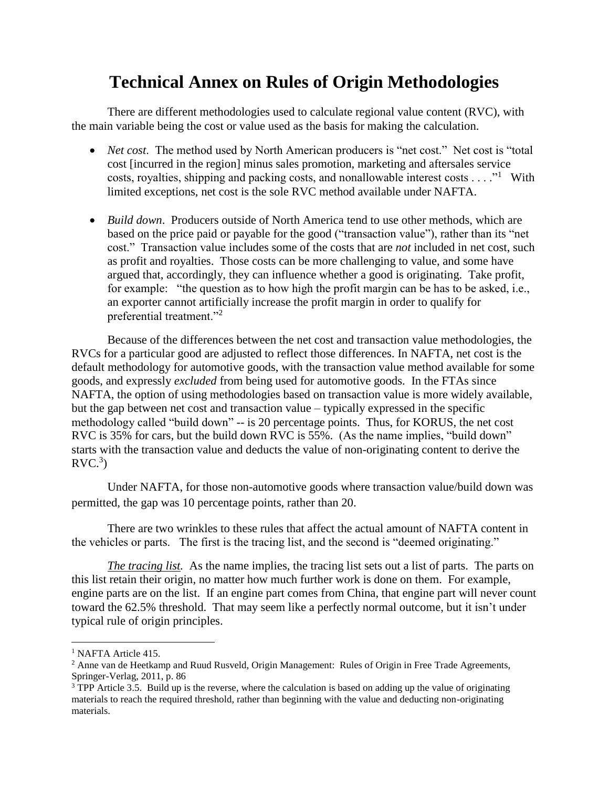## **Technical Annex on Rules of Origin Methodologies**

There are different methodologies used to calculate regional value content (RVC), with the main variable being the cost or value used as the basis for making the calculation.

- *Net cost*. The method used by North American producers is "net cost." Net cost is "total cost [incurred in the region] minus sales promotion, marketing and aftersales service costs, royalties, shipping and packing costs, and nonallowable interest costs  $\dots$ ." With limited exceptions, net cost is the sole RVC method available under NAFTA.
- *Build down*. Producers outside of North America tend to use other methods, which are based on the price paid or payable for the good ("transaction value"), rather than its "net cost." Transaction value includes some of the costs that are *not* included in net cost, such as profit and royalties. Those costs can be more challenging to value, and some have argued that, accordingly, they can influence whether a good is originating. Take profit, for example: "the question as to how high the profit margin can be has to be asked, i.e., an exporter cannot artificially increase the profit margin in order to qualify for preferential treatment."<sup>2</sup>

Because of the differences between the net cost and transaction value methodologies, the RVCs for a particular good are adjusted to reflect those differences. In NAFTA, net cost is the default methodology for automotive goods, with the transaction value method available for some goods, and expressly *excluded* from being used for automotive goods. In the FTAs since NAFTA, the option of using methodologies based on transaction value is more widely available, but the gap between net cost and transaction value – typically expressed in the specific methodology called "build down" -- is 20 percentage points. Thus, for KORUS, the net cost RVC is 35% for cars, but the build down RVC is 55%. (As the name implies, "build down" starts with the transaction value and deducts the value of non-originating content to derive the  $\text{RVC.}^3$ 

Under NAFTA, for those non-automotive goods where transaction value/build down was permitted, the gap was 10 percentage points, rather than 20.

There are two wrinkles to these rules that affect the actual amount of NAFTA content in the vehicles or parts. The first is the tracing list, and the second is "deemed originating."

*The tracing list.* As the name implies, the tracing list sets out a list of parts. The parts on this list retain their origin, no matter how much further work is done on them. For example, engine parts are on the list. If an engine part comes from China, that engine part will never count toward the 62.5% threshold. That may seem like a perfectly normal outcome, but it isn't under typical rule of origin principles.

l

<sup>&</sup>lt;sup>1</sup> NAFTA Article 415.

<sup>&</sup>lt;sup>2</sup> Anne van de Heetkamp and Ruud Rusveld, Origin Management: Rules of Origin in Free Trade Agreements, Springer-Verlag, 2011, p. 86

<sup>&</sup>lt;sup>3</sup> TPP Article 3.5. Build up is the reverse, where the calculation is based on adding up the value of originating materials to reach the required threshold, rather than beginning with the value and deducting non-originating materials.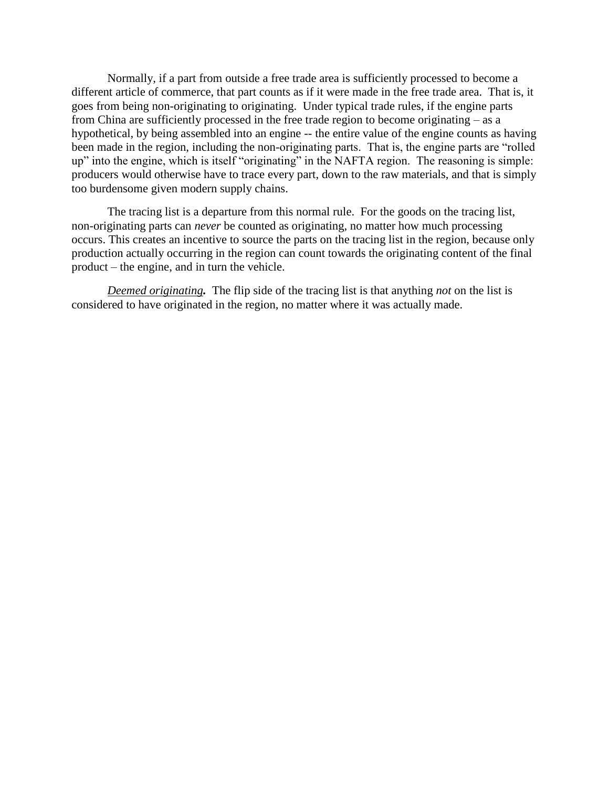Normally, if a part from outside a free trade area is sufficiently processed to become a different article of commerce, that part counts as if it were made in the free trade area. That is, it goes from being non-originating to originating. Under typical trade rules, if the engine parts from China are sufficiently processed in the free trade region to become originating – as a hypothetical, by being assembled into an engine -- the entire value of the engine counts as having been made in the region, including the non-originating parts. That is, the engine parts are "rolled up" into the engine, which is itself "originating" in the NAFTA region. The reasoning is simple: producers would otherwise have to trace every part, down to the raw materials, and that is simply too burdensome given modern supply chains.

The tracing list is a departure from this normal rule. For the goods on the tracing list, non-originating parts can *never* be counted as originating, no matter how much processing occurs. This creates an incentive to source the parts on the tracing list in the region, because only production actually occurring in the region can count towards the originating content of the final product – the engine, and in turn the vehicle.

*Deemed originating.*The flip side of the tracing list is that anything *not* on the list is considered to have originated in the region, no matter where it was actually made.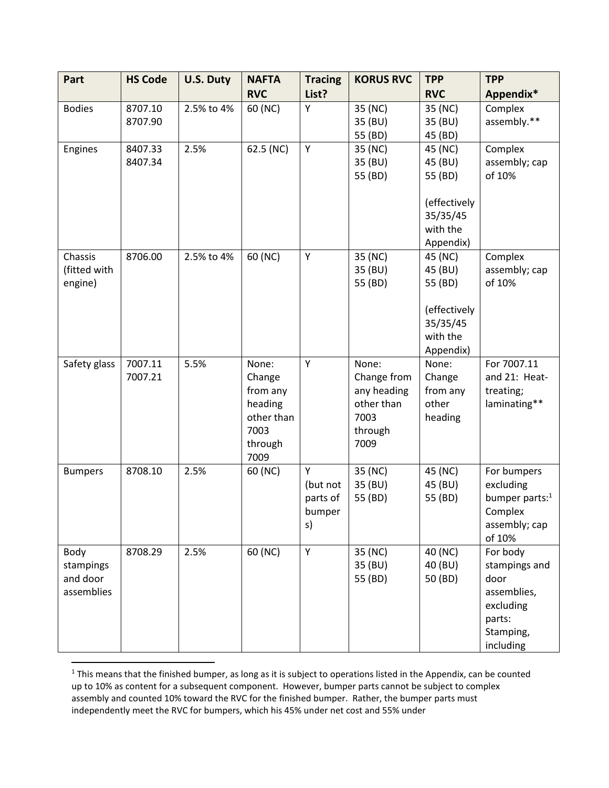| Part                                        | <b>HS Code</b>     | <b>U.S. Duty</b> | <b>NAFTA</b>                                                                    | <b>Tracing</b>                            | <b>KORUS RVC</b>                                                             | <b>TPP</b>                                                                         | <b>TPP</b>                                                                                        |
|---------------------------------------------|--------------------|------------------|---------------------------------------------------------------------------------|-------------------------------------------|------------------------------------------------------------------------------|------------------------------------------------------------------------------------|---------------------------------------------------------------------------------------------------|
|                                             |                    |                  | <b>RVC</b>                                                                      | List?                                     |                                                                              | <b>RVC</b>                                                                         | Appendix*                                                                                         |
| <b>Bodies</b>                               | 8707.10<br>8707.90 | 2.5% to 4%       | 60 (NC)                                                                         | Υ                                         | 35 (NC)<br>35 (BU)<br>55 (BD)                                                | 35 (NC)<br>35 (BU)<br>45 (BD)                                                      | Complex<br>assembly.**                                                                            |
| Engines                                     | 8407.33<br>8407.34 | 2.5%             | 62.5 (NC)                                                                       | Υ                                         | 35 (NC)<br>35 (BU)<br>55 (BD)                                                | 45 (NC)<br>45 (BU)<br>55 (BD)<br>(effectively<br>35/35/45<br>with the<br>Appendix) | Complex<br>assembly; cap<br>of 10%                                                                |
| Chassis<br>(fitted with<br>engine)          | 8706.00            | 2.5% to 4%       | 60 (NC)                                                                         | Υ                                         | 35 (NC)<br>35 (BU)<br>55 (BD)                                                | 45 (NC)<br>45 (BU)<br>55 (BD)<br>(effectively<br>35/35/45<br>with the<br>Appendix) | Complex<br>assembly; cap<br>of 10%                                                                |
| Safety glass                                | 7007.11<br>7007.21 | 5.5%             | None:<br>Change<br>from any<br>heading<br>other than<br>7003<br>through<br>7009 | Υ                                         | None:<br>Change from<br>any heading<br>other than<br>7003<br>through<br>7009 | None:<br>Change<br>from any<br>other<br>heading                                    | For 7007.11<br>and 21: Heat-<br>treating;<br>laminating**                                         |
| <b>Bumpers</b>                              | 8708.10            | 2.5%             | 60 (NC)                                                                         | Y<br>(but not<br>parts of<br>bumper<br>s) | 35 (NC)<br>35 (BU)<br>55 (BD)                                                | 45 (NC)<br>45 (BU)<br>55 (BD)                                                      | For bumpers<br>excluding<br>bumper parts: <sup>1</sup><br>Complex<br>assembly; cap<br>of 10%      |
| Body<br>stampings<br>and door<br>assemblies | 8708.29            | 2.5%             | 60 (NC)                                                                         | Υ                                         | 35 (NC)<br>35 (BU)<br>55 (BD)                                                | 40 (NC)<br>40 (BU)<br>50 (BD)                                                      | For body<br>stampings and<br>door<br>assemblies,<br>excluding<br>parts:<br>Stamping,<br>including |

<sup>&</sup>lt;sup>1</sup> This means that the finished bumper, as long as it is subject to operations listed in the Appendix, can be counted up to 10% as content for a subsequent component. However, bumper parts cannot be subject to complex assembly and counted 10% toward the RVC for the finished bumper. Rather, the bumper parts must independently meet the RVC for bumpers, which his 45% under net cost and 55% under

 $\overline{a}$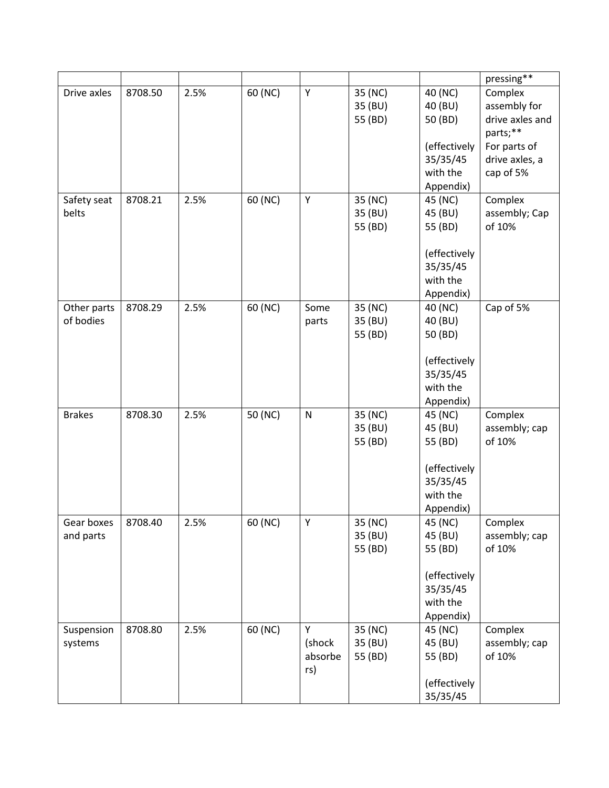|               |         |      |         |           |         |                      | pressing**      |
|---------------|---------|------|---------|-----------|---------|----------------------|-----------------|
| Drive axles   | 8708.50 | 2.5% | 60 (NC) | Υ         | 35 (NC) | 40 (NC)              | Complex         |
|               |         |      |         |           | 35 (BU) | 40 (BU)              | assembly for    |
|               |         |      |         |           | 55 (BD) | 50 (BD)              | drive axles and |
|               |         |      |         |           |         |                      | parts;**        |
|               |         |      |         |           |         | (effectively         | For parts of    |
|               |         |      |         |           |         | 35/35/45             | drive axles, a  |
|               |         |      |         |           |         | with the             | cap of 5%       |
|               |         |      |         |           |         | Appendix)            |                 |
| Safety seat   | 8708.21 | 2.5% | 60 (NC) | Υ         | 35 (NC) | 45 (NC)              | Complex         |
| belts         |         |      |         |           | 35 (BU) | 45 (BU)              | assembly; Cap   |
|               |         |      |         |           | 55 (BD) | 55 (BD)              | of 10%          |
|               |         |      |         |           |         |                      |                 |
|               |         |      |         |           |         | (effectively         |                 |
|               |         |      |         |           |         | 35/35/45             |                 |
|               |         |      |         |           |         | with the             |                 |
|               |         |      |         |           |         | Appendix)            |                 |
| Other parts   | 8708.29 | 2.5% | 60 (NC) | Some      | 35 (NC) | 40 (NC)              | Cap of 5%       |
| of bodies     |         |      |         | parts     | 35 (BU) | 40 (BU)              |                 |
|               |         |      |         |           | 55 (BD) | 50 (BD)              |                 |
|               |         |      |         |           |         |                      |                 |
|               |         |      |         |           |         | (effectively         |                 |
|               |         |      |         |           |         | 35/35/45             |                 |
|               |         |      |         |           |         | with the             |                 |
| <b>Brakes</b> | 8708.30 | 2.5% | 50 (NC) | ${\sf N}$ | 35 (NC) | Appendix)<br>45 (NC) | Complex         |
|               |         |      |         |           | 35 (BU) | 45 (BU)              | assembly; cap   |
|               |         |      |         |           | 55 (BD) | 55 (BD)              | of 10%          |
|               |         |      |         |           |         |                      |                 |
|               |         |      |         |           |         | (effectively         |                 |
|               |         |      |         |           |         | 35/35/45             |                 |
|               |         |      |         |           |         | with the             |                 |
|               |         |      |         |           |         | Appendix)            |                 |
| Gear boxes    | 8708.40 | 2.5% | 60 (NC) | Υ         | 35 (NC) | 45 (NC)              | Complex         |
| and parts     |         |      |         |           | 35 (BU) | 45 (BU)              | assembly; cap   |
|               |         |      |         |           | 55 (BD) | 55 (BD)              | of 10%          |
|               |         |      |         |           |         |                      |                 |
|               |         |      |         |           |         | (effectively         |                 |
|               |         |      |         |           |         | 35/35/45             |                 |
|               |         |      |         |           |         | with the             |                 |
|               |         |      |         |           |         | Appendix)            |                 |
| Suspension    | 8708.80 | 2.5% | 60 (NC) | Υ         | 35 (NC) | 45 (NC)              | Complex         |
| systems       |         |      |         | (shock    | 35 (BU) | 45 (BU)              | assembly; cap   |
|               |         |      |         | absorbe   | 55 (BD) | 55 (BD)              | of 10%          |
|               |         |      |         | rs)       |         |                      |                 |
|               |         |      |         |           |         | (effectively         |                 |
|               |         |      |         |           |         | 35/35/45             |                 |